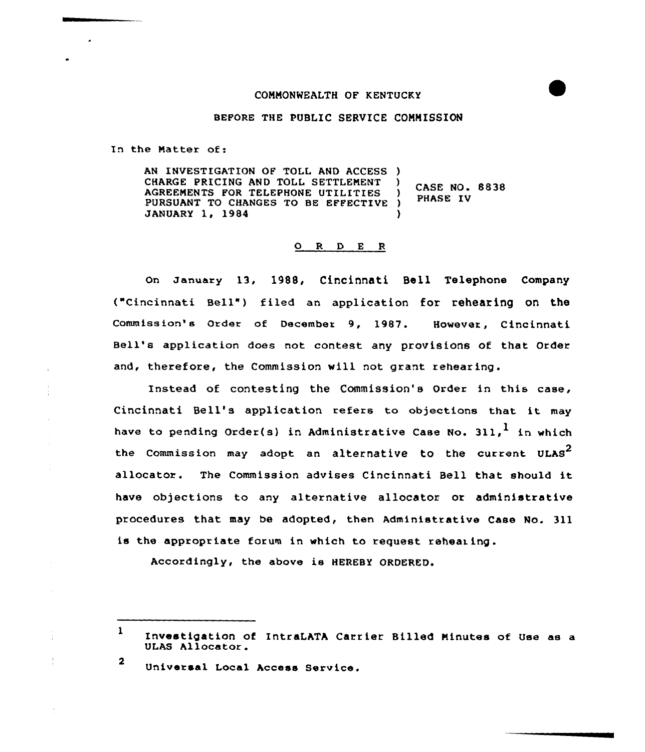## CONNONWEALTH OF KENTUCKY



## BEFORE THE PUBLIC SERVICE COMMISSION

In the Natter of:

AN INVESTIGATION OF TOLL AND ACCESS ) CHARGE PRICING AND TOLL SETTLENENT AGREENENTS FOR TELEPHONE UTILITIES PURSUANT TO CHANGES TO BE EFFECTIVE ) JANUARY 1, 1984  $\bigg\}$  CASE NO. 8838 PHASE IV )

## O R D E R

On January 13, 1988, Cincinnati Bell Telephone Company ("Cincinnati Bell") filed an application for rehearing on the Commission's Order of December 9, 1987. However, Cincinnati Bell's application does not contest any provisions of that Order and, therefore, the Commission will not grant rehearing.

Instead of contesting the Commission's Order in this case, Cincinnati Bell's application refers to objections that it may have to pending Order(s) in Administrative Case No. 311.<sup>1</sup> in which the Commission may adopt an alternative to the current ULAS<sup>2</sup> allocator. The Commission advises Cincinnati Bell that should it have objections to any alternative allocator or administrative procedures that may be adopted, then Administrative Case No. 311 is the appropriate forum in which to request rehearing.

Accordingly, the abave ie HEREBY ORDERED.

 $1$  Investigation of IntraLATA Carrier Billed Minutes of Use as a ULAS Allocator.

<sup>2</sup> Universal Local Access Service.